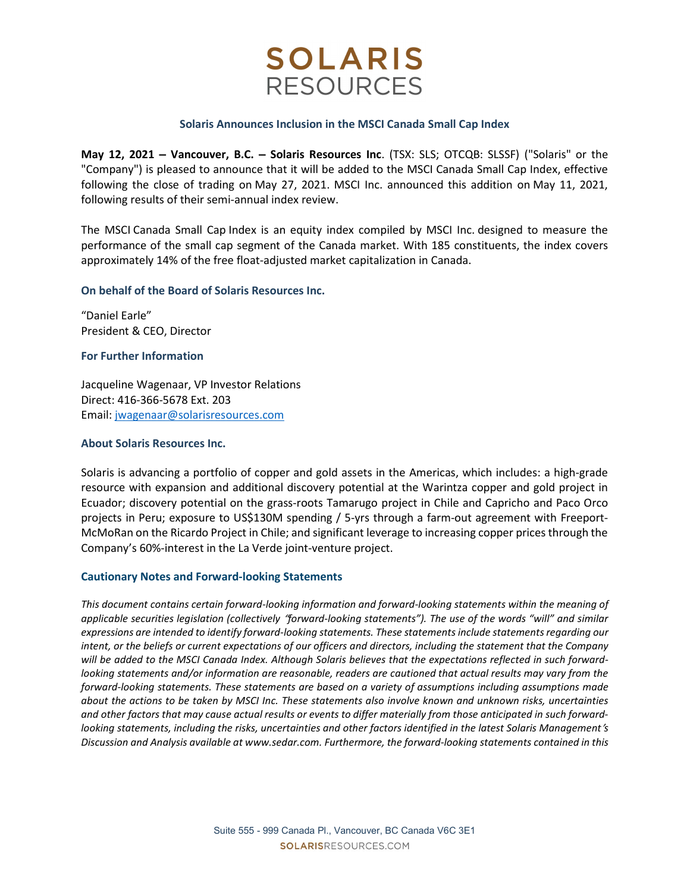# **SOLARIS RESOURCES**

#### Solaris Announces Inclusion in the MSCI Canada Small Cap Index

May 12, 2021 – Vancouver, B.C. – Solaris Resources Inc. (TSX: SLS; OTCQB: SLSSF) ("Solaris" or the "Company") is pleased to announce that it will be added to the MSCI Canada Small Cap Index, effective following the close of trading on May 27, 2021. MSCI Inc. announced this addition on May 11, 2021, following results of their semi-annual index review.

The MSCI Canada Small Cap Index is an equity index compiled by MSCI Inc. designed to measure the performance of the small cap segment of the Canada market. With 185 constituents, the index covers approximately 14% of the free float-adjusted market capitalization in Canada.

## On behalf of the Board of Solaris Resources Inc.

"Daniel Earle" President & CEO, Director

## For Further Information

Jacqueline Wagenaar, VP Investor Relations Direct: 416-366-5678 Ext. 203 Email: jwagenaar@solarisresources.com

### About Solaris Resources Inc.

Solaris is advancing a portfolio of copper and gold assets in the Americas, which includes: a high-grade resource with expansion and additional discovery potential at the Warintza copper and gold project in Ecuador; discovery potential on the grass-roots Tamarugo project in Chile and Capricho and Paco Orco projects in Peru; exposure to US\$130M spending / 5-yrs through a farm-out agreement with Freeport-McMoRan on the Ricardo Project in Chile; and significant leverage to increasing copper prices through the Company's 60%-interest in the La Verde joint-venture project.

#### Cautionary Notes and Forward-looking Statements

This document contains certain forward-looking information and forward-looking statements within the meaning of applicable securities legislation (collectively "forward-looking statements"). The use of the words "will" and similar expressions are intended to identify forward-looking statements. These statements include statements regarding our intent, or the beliefs or current expectations of our officers and directors, including the statement that the Company will be added to the MSCI Canada Index. Although Solaris believes that the expectations reflected in such forwardlooking statements and/or information are reasonable, readers are cautioned that actual results may vary from the forward-looking statements. These statements are based on a variety of assumptions including assumptions made about the actions to be taken by MSCI Inc. These statements also involve known and unknown risks, uncertainties and other factors that may cause actual results or events to differ materially from those anticipated in such forwardlooking statements, including the risks, uncertainties and other factors identified in the latest Solaris Management's Discussion and Analysis available at www.sedar.com. Furthermore, the forward-looking statements contained in this